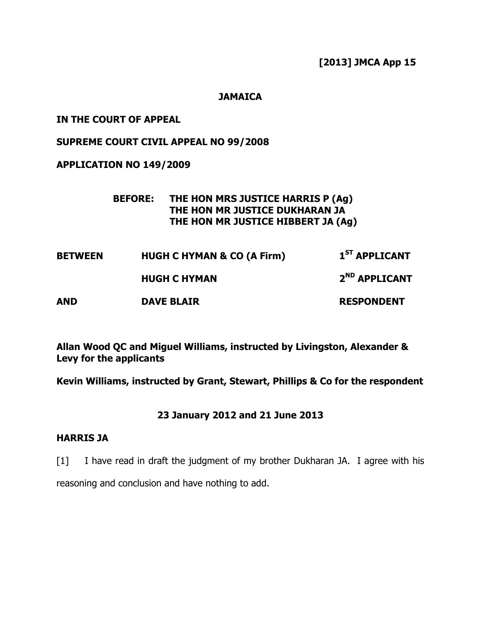[2013] JMCA App 15

### **JAMAICA**

## IN THE COURT OF APPEAL

## SUPREME COURT CIVIL APPEAL NO 99/2008

## APPLICATION NO 149/2009

## BEFORE: THE HON MRS JUSTICE HARRIS P (Ag) THE HON MR JUSTICE DUKHARAN JA THE HON MR JUSTICE HIBBERT JA (Ag)

| <b>BETWEEN</b> | <b>HUGH C HYMAN &amp; CO (A Firm)</b> | 1 <sup>ST</sup> APPLICANT |
|----------------|---------------------------------------|---------------------------|
|                | <b>HUGH C HYMAN</b>                   | 2 <sup>ND</sup> APPLICANT |
| <b>AND</b>     | <b>DAVE BLAIR</b>                     | <b>RESPONDENT</b>         |

Allan Wood QC and Miguel Williams, instructed by Livingston, Alexander & Levy for the applicants

Kevin Williams, instructed by Grant, Stewart, Phillips & Co for the respondent

## 23 January 2012 and 21 June 2013

# HARRIS JA

[1] I have read in draft the judgment of my brother Dukharan JA. I agree with his reasoning and conclusion and have nothing to add.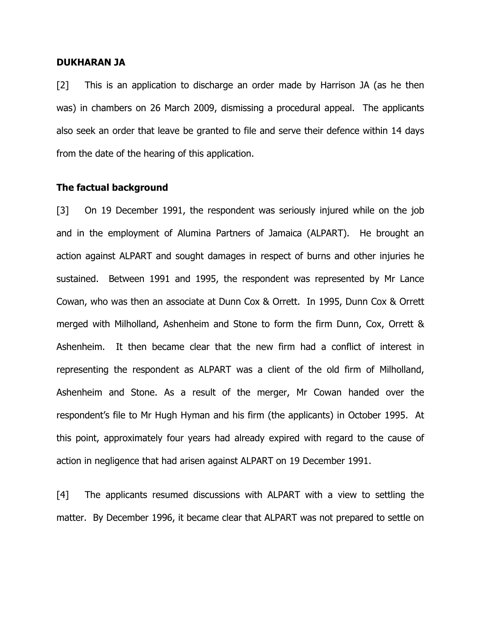#### DUKHARAN JA

[2] This is an application to discharge an order made by Harrison JA (as he then was) in chambers on 26 March 2009, dismissing a procedural appeal. The applicants also seek an order that leave be granted to file and serve their defence within 14 days from the date of the hearing of this application.

#### The factual background

[3] On 19 December 1991, the respondent was seriously injured while on the job and in the employment of Alumina Partners of Jamaica (ALPART). He brought an action against ALPART and sought damages in respect of burns and other injuries he sustained. Between 1991 and 1995, the respondent was represented by Mr Lance Cowan, who was then an associate at Dunn Cox & Orrett. In 1995, Dunn Cox & Orrett merged with Milholland, Ashenheim and Stone to form the firm Dunn, Cox, Orrett & Ashenheim. It then became clear that the new firm had a conflict of interest in representing the respondent as ALPART was a client of the old firm of Milholland, Ashenheim and Stone. As a result of the merger, Mr Cowan handed over the respondent's file to Mr Hugh Hyman and his firm (the applicants) in October 1995. At this point, approximately four years had already expired with regard to the cause of action in negligence that had arisen against ALPART on 19 December 1991.

[4] The applicants resumed discussions with ALPART with a view to settling the matter. By December 1996, it became clear that ALPART was not prepared to settle on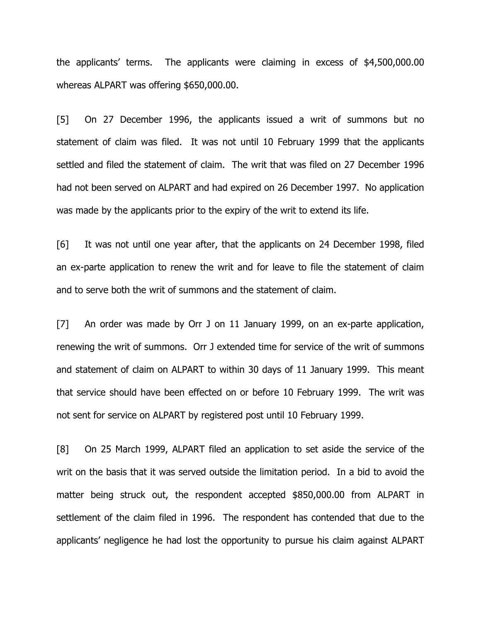the applicants' terms. The applicants were claiming in excess of \$4,500,000.00 whereas ALPART was offering \$650,000.00.

[5] On 27 December 1996, the applicants issued a writ of summons but no statement of claim was filed. It was not until 10 February 1999 that the applicants settled and filed the statement of claim. The writ that was filed on 27 December 1996 had not been served on ALPART and had expired on 26 December 1997. No application was made by the applicants prior to the expiry of the writ to extend its life.

[6] It was not until one year after, that the applicants on 24 December 1998, filed an ex-parte application to renew the writ and for leave to file the statement of claim and to serve both the writ of summons and the statement of claim.

[7] An order was made by Orr J on 11 January 1999, on an ex-parte application, renewing the writ of summons. Orr J extended time for service of the writ of summons and statement of claim on ALPART to within 30 days of 11 January 1999. This meant that service should have been effected on or before 10 February 1999. The writ was not sent for service on ALPART by registered post until 10 February 1999.

[8] On 25 March 1999, ALPART filed an application to set aside the service of the writ on the basis that it was served outside the limitation period. In a bid to avoid the matter being struck out, the respondent accepted \$850,000.00 from ALPART in settlement of the claim filed in 1996. The respondent has contended that due to the applicants' negligence he had lost the opportunity to pursue his claim against ALPART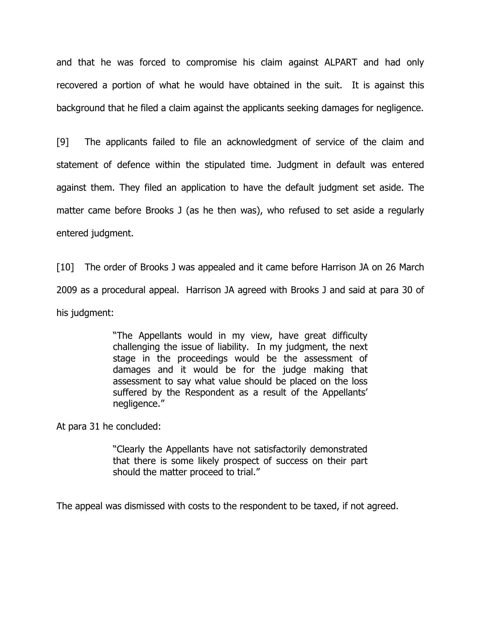and that he was forced to compromise his claim against ALPART and had only recovered a portion of what he would have obtained in the suit. It is against this background that he filed a claim against the applicants seeking damages for negligence.

[9] The applicants failed to file an acknowledgment of service of the claim and statement of defence within the stipulated time. Judgment in default was entered against them. They filed an application to have the default judgment set aside. The matter came before Brooks J (as he then was), who refused to set aside a regularly entered judgment.

[10] The order of Brooks J was appealed and it came before Harrison JA on 26 March 2009 as a procedural appeal. Harrison JA agreed with Brooks J and said at para 30 of his judgment:

> "The Appellants would in my view, have great difficulty challenging the issue of liability. In my judgment, the next stage in the proceedings would be the assessment of damages and it would be for the judge making that assessment to say what value should be placed on the loss suffered by the Respondent as a result of the Appellants' negligence."

At para 31 he concluded:

"Clearly the Appellants have not satisfactorily demonstrated that there is some likely prospect of success on their part should the matter proceed to trial."

The appeal was dismissed with costs to the respondent to be taxed, if not agreed.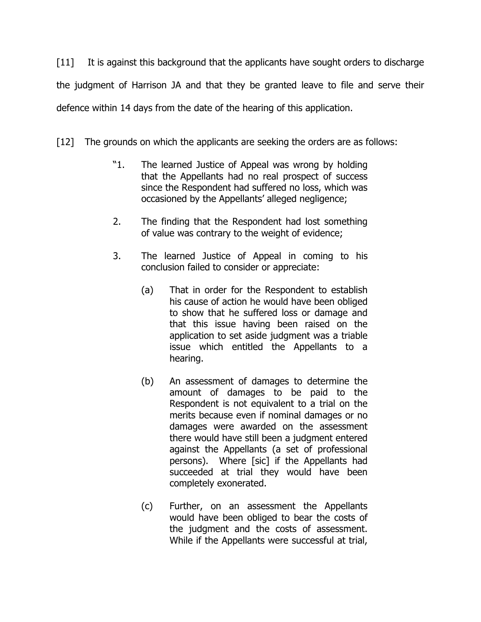[11] It is against this background that the applicants have sought orders to discharge the judgment of Harrison JA and that they be granted leave to file and serve their defence within 14 days from the date of the hearing of this application.

[12] The grounds on which the applicants are seeking the orders are as follows:

- "1. The learned Justice of Appeal was wrong by holding that the Appellants had no real prospect of success since the Respondent had suffered no loss, which was occasioned by the Appellants' alleged negligence;
- 2. The finding that the Respondent had lost something of value was contrary to the weight of evidence;
- 3. The learned Justice of Appeal in coming to his conclusion failed to consider or appreciate:
	- (a) That in order for the Respondent to establish his cause of action he would have been obliged to show that he suffered loss or damage and that this issue having been raised on the application to set aside judgment was a triable issue which entitled the Appellants to a hearing.
	- (b) An assessment of damages to determine the amount of damages to be paid to the Respondent is not equivalent to a trial on the merits because even if nominal damages or no damages were awarded on the assessment there would have still been a judgment entered against the Appellants (a set of professional persons). Where [sic] if the Appellants had succeeded at trial they would have been completely exonerated.
	- (c) Further, on an assessment the Appellants would have been obliged to bear the costs of the judgment and the costs of assessment. While if the Appellants were successful at trial,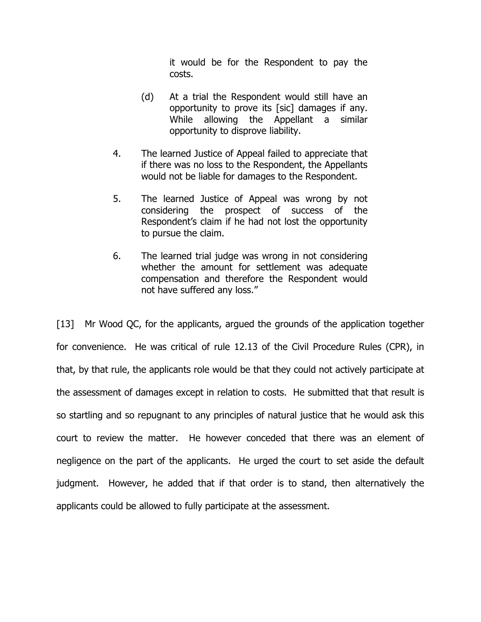it would be for the Respondent to pay the costs.

- (d) At a trial the Respondent would still have an opportunity to prove its [sic] damages if any. While allowing the Appellant a similar opportunity to disprove liability.
- 4. The learned Justice of Appeal failed to appreciate that if there was no loss to the Respondent, the Appellants would not be liable for damages to the Respondent.
- 5. The learned Justice of Appeal was wrong by not considering the prospect of success of the Respondent's claim if he had not lost the opportunity to pursue the claim.
- 6. The learned trial judge was wrong in not considering whether the amount for settlement was adequate compensation and therefore the Respondent would not have suffered any loss."

[13] Mr Wood QC, for the applicants, argued the grounds of the application together for convenience. He was critical of rule 12.13 of the Civil Procedure Rules (CPR), in that, by that rule, the applicants role would be that they could not actively participate at the assessment of damages except in relation to costs. He submitted that that result is so startling and so repugnant to any principles of natural justice that he would ask this court to review the matter. He however conceded that there was an element of negligence on the part of the applicants. He urged the court to set aside the default judgment. However, he added that if that order is to stand, then alternatively the applicants could be allowed to fully participate at the assessment.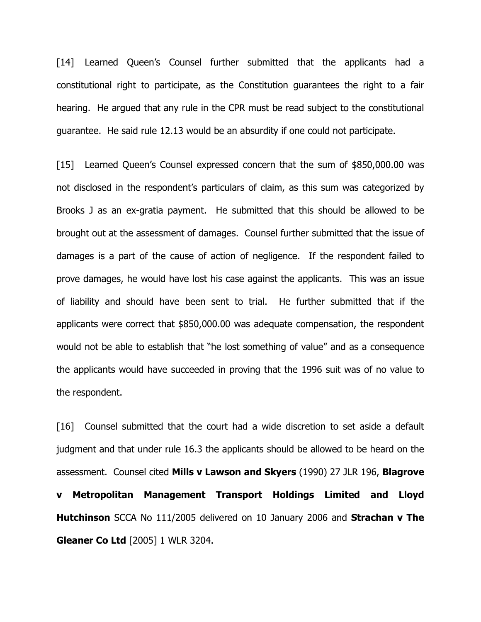[14] Learned Queen's Counsel further submitted that the applicants had a constitutional right to participate, as the Constitution guarantees the right to a fair hearing. He argued that any rule in the CPR must be read subject to the constitutional guarantee. He said rule 12.13 would be an absurdity if one could not participate.

[15] Learned Queen's Counsel expressed concern that the sum of \$850,000.00 was not disclosed in the respondent's particulars of claim, as this sum was categorized by Brooks J as an ex-gratia payment. He submitted that this should be allowed to be brought out at the assessment of damages. Counsel further submitted that the issue of damages is a part of the cause of action of negligence. If the respondent failed to prove damages, he would have lost his case against the applicants. This was an issue of liability and should have been sent to trial. He further submitted that if the applicants were correct that \$850,000.00 was adequate compensation, the respondent would not be able to establish that "he lost something of value" and as a consequence the applicants would have succeeded in proving that the 1996 suit was of no value to the respondent.

[16] Counsel submitted that the court had a wide discretion to set aside a default judgment and that under rule 16.3 the applicants should be allowed to be heard on the assessment. Counsel cited Mills v Lawson and Skyers (1990) 27 JLR 196, Blagrove v Metropolitan Management Transport Holdings Limited and Lloyd Hutchinson SCCA No 111/2005 delivered on 10 January 2006 and Strachan v The Gleaner Co Ltd [2005] 1 WLR 3204.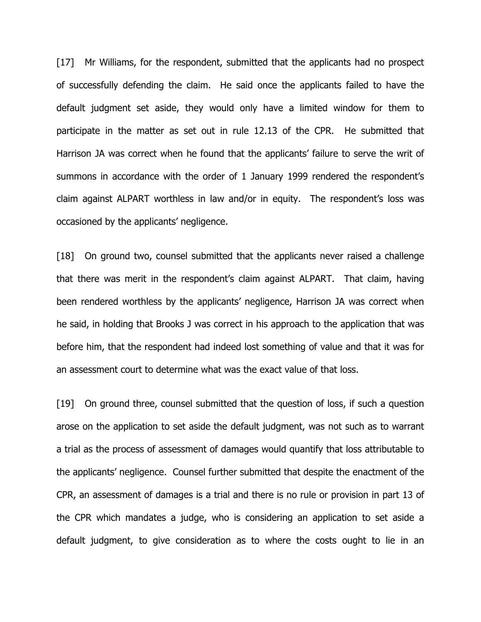[17] Mr Williams, for the respondent, submitted that the applicants had no prospect of successfully defending the claim. He said once the applicants failed to have the default judgment set aside, they would only have a limited window for them to participate in the matter as set out in rule 12.13 of the CPR. He submitted that Harrison JA was correct when he found that the applicants' failure to serve the writ of summons in accordance with the order of 1 January 1999 rendered the respondent's claim against ALPART worthless in law and/or in equity. The respondent's loss was occasioned by the applicants' negligence.

[18] On ground two, counsel submitted that the applicants never raised a challenge that there was merit in the respondent's claim against ALPART. That claim, having been rendered worthless by the applicants' negligence, Harrison JA was correct when he said, in holding that Brooks J was correct in his approach to the application that was before him, that the respondent had indeed lost something of value and that it was for an assessment court to determine what was the exact value of that loss.

[19] On ground three, counsel submitted that the question of loss, if such a question arose on the application to set aside the default judgment, was not such as to warrant a trial as the process of assessment of damages would quantify that loss attributable to the applicants' negligence. Counsel further submitted that despite the enactment of the CPR, an assessment of damages is a trial and there is no rule or provision in part 13 of the CPR which mandates a judge, who is considering an application to set aside a default judgment, to give consideration as to where the costs ought to lie in an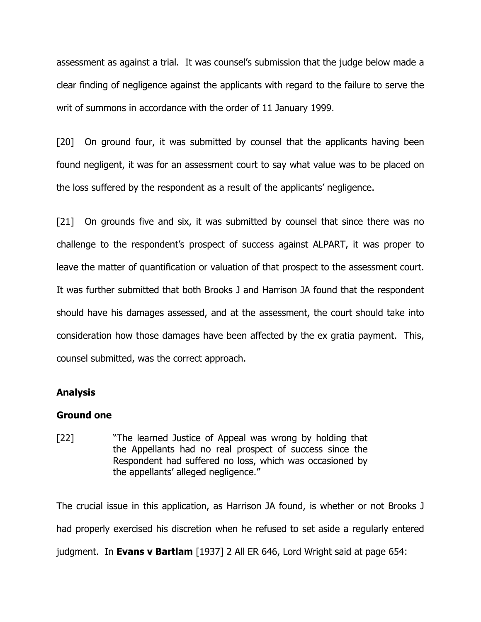assessment as against a trial. It was counsel's submission that the judge below made a clear finding of negligence against the applicants with regard to the failure to serve the writ of summons in accordance with the order of 11 January 1999.

[20] On ground four, it was submitted by counsel that the applicants having been found negligent, it was for an assessment court to say what value was to be placed on the loss suffered by the respondent as a result of the applicants' negligence.

[21] On grounds five and six, it was submitted by counsel that since there was no challenge to the respondent's prospect of success against ALPART, it was proper to leave the matter of quantification or valuation of that prospect to the assessment court. It was further submitted that both Brooks J and Harrison JA found that the respondent should have his damages assessed, and at the assessment, the court should take into consideration how those damages have been affected by the ex gratia payment. This, counsel submitted, was the correct approach.

#### Analysis

#### Ground one

[22] "The learned Justice of Appeal was wrong by holding that the Appellants had no real prospect of success since the Respondent had suffered no loss, which was occasioned by the appellants' alleged negligence."

The crucial issue in this application, as Harrison JA found, is whether or not Brooks J had properly exercised his discretion when he refused to set aside a regularly entered judgment. In Evans v Bartlam [1937] 2 All ER 646, Lord Wright said at page 654: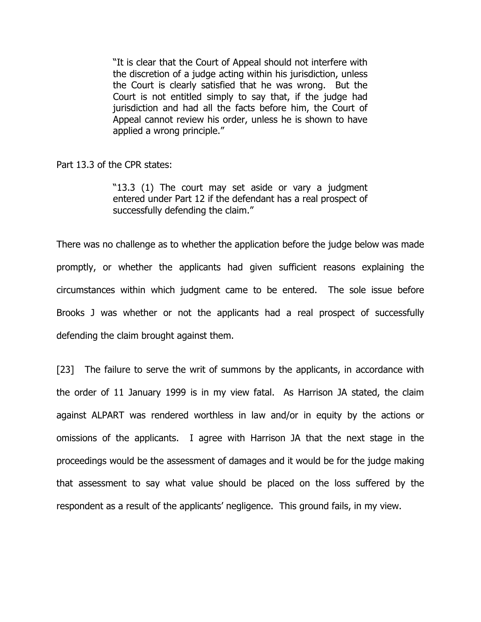"It is clear that the Court of Appeal should not interfere with the discretion of a judge acting within his jurisdiction, unless the Court is clearly satisfied that he was wrong. But the Court is not entitled simply to say that, if the judge had jurisdiction and had all the facts before him, the Court of Appeal cannot review his order, unless he is shown to have applied a wrong principle."

Part 13.3 of the CPR states:

"13.3 (1) The court may set aside or vary a judgment entered under Part 12 if the defendant has a real prospect of successfully defending the claim."

There was no challenge as to whether the application before the judge below was made promptly, or whether the applicants had given sufficient reasons explaining the circumstances within which judgment came to be entered. The sole issue before Brooks J was whether or not the applicants had a real prospect of successfully defending the claim brought against them.

[23] The failure to serve the writ of summons by the applicants, in accordance with the order of 11 January 1999 is in my view fatal. As Harrison JA stated, the claim against ALPART was rendered worthless in law and/or in equity by the actions or omissions of the applicants. I agree with Harrison JA that the next stage in the proceedings would be the assessment of damages and it would be for the judge making that assessment to say what value should be placed on the loss suffered by the respondent as a result of the applicants' negligence. This ground fails, in my view.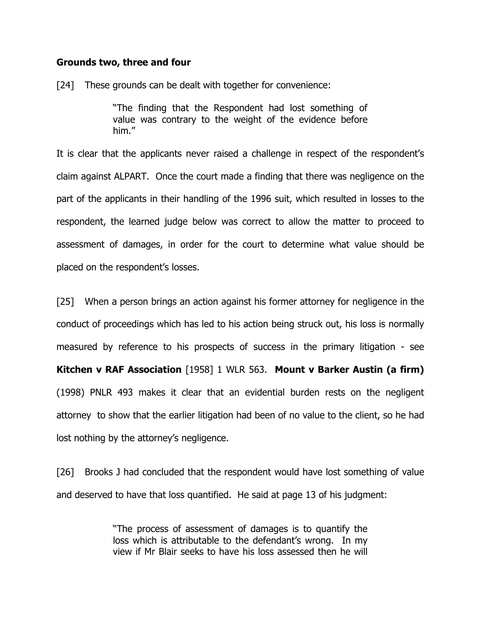#### Grounds two, three and four

[24] These grounds can be dealt with together for convenience:

"The finding that the Respondent had lost something of value was contrary to the weight of the evidence before him."

It is clear that the applicants never raised a challenge in respect of the respondent's claim against ALPART. Once the court made a finding that there was negligence on the part of the applicants in their handling of the 1996 suit, which resulted in losses to the respondent, the learned judge below was correct to allow the matter to proceed to assessment of damages, in order for the court to determine what value should be placed on the respondent's losses.

[25] When a person brings an action against his former attorney for negligence in the conduct of proceedings which has led to his action being struck out, his loss is normally measured by reference to his prospects of success in the primary litigation - see Kitchen v RAF Association [1958] 1 WLR 563. Mount v Barker Austin (a firm) (1998) PNLR 493 makes it clear that an evidential burden rests on the negligent attorney to show that the earlier litigation had been of no value to the client, so he had lost nothing by the attorney's negligence.

[26] Brooks J had concluded that the respondent would have lost something of value and deserved to have that loss quantified. He said at page 13 of his judgment:

> "The process of assessment of damages is to quantify the loss which is attributable to the defendant's wrong. In my view if Mr Blair seeks to have his loss assessed then he will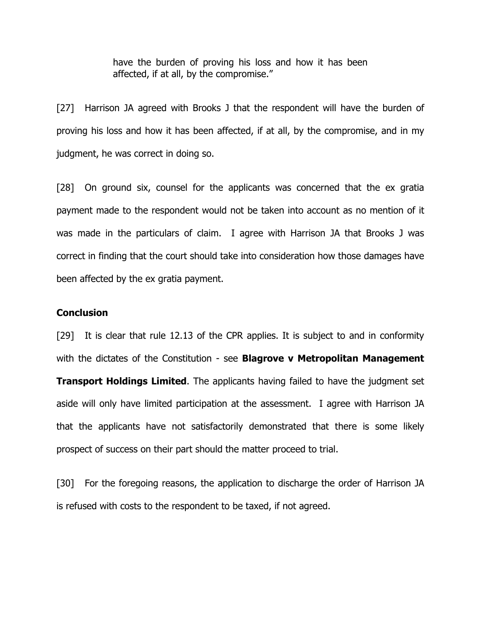have the burden of proving his loss and how it has been affected, if at all, by the compromise."

[27] Harrison JA agreed with Brooks J that the respondent will have the burden of proving his loss and how it has been affected, if at all, by the compromise, and in my judgment, he was correct in doing so.

[28] On ground six, counsel for the applicants was concerned that the ex gratia payment made to the respondent would not be taken into account as no mention of it was made in the particulars of claim. I agree with Harrison JA that Brooks J was correct in finding that the court should take into consideration how those damages have been affected by the ex gratia payment.

#### **Conclusion**

[29] It is clear that rule 12.13 of the CPR applies. It is subject to and in conformity with the dictates of the Constitution - see **Blagrove v Metropolitan Management** 

**Transport Holdings Limited.** The applicants having failed to have the judgment set aside will only have limited participation at the assessment. I agree with Harrison JA that the applicants have not satisfactorily demonstrated that there is some likely prospect of success on their part should the matter proceed to trial.

[30] For the foregoing reasons, the application to discharge the order of Harrison JA is refused with costs to the respondent to be taxed, if not agreed.